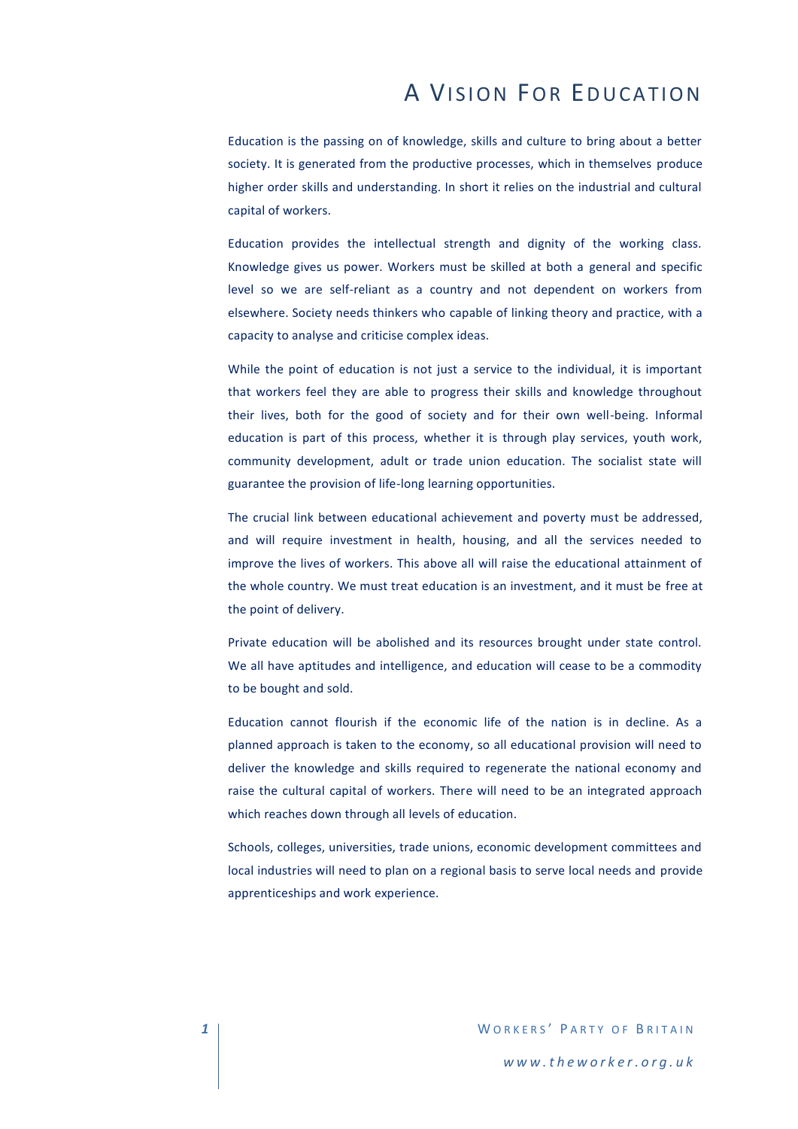# A VISION FOR EDUCATION

Education is the passing on of knowledge, skills and culture to bring about a better society. It is generated from the productive processes, which in themselves produce higher order skills and understanding. In short it relies on the industrial and cultural capital of workers.

Education provides the intellectual strength and dignity of the working class. Knowledge gives us power. Workers must be skilled at both a general and specific level so we are self-reliant as a country and not dependent on workers from elsewhere. Society needs thinkers who capable of linking theory and practice, with a capacity to analyse and criticise complex ideas.

While the point of education is not just a service to the individual, it is important that workers feel they are able to progress their skills and knowledge throughout their lives, both for the good of society and for their own well-being. Informal education is part of this process, whether it is through play services, youth work, community development, adult or trade union education. The socialist state will guarantee the provision of life-long learning opportunities.

The crucial link between educational achievement and poverty must be addressed, and will require investment in health, housing, and all the services needed to improve the lives of workers. This above all will raise the educational attainment of the whole country. We must treat education is an investment, and it must be free at the point of delivery.

Private education will be abolished and its resources brought under state control. We all have aptitudes and intelligence, and education will cease to be a commodity to be bought and sold.

Education cannot flourish if the economic life of the nation is in decline. As a planned approach is taken to the economy, so all educational provision will need to deliver the knowledge and skills required to regenerate the national economy and raise the cultural capital of workers. There will need to be an integrated approach which reaches down through all levels of education.

Schools, colleges, universities, trade unions, economic development committees and local industries will need to plan on a regional basis to serve local needs and provide apprenticeships and work experience.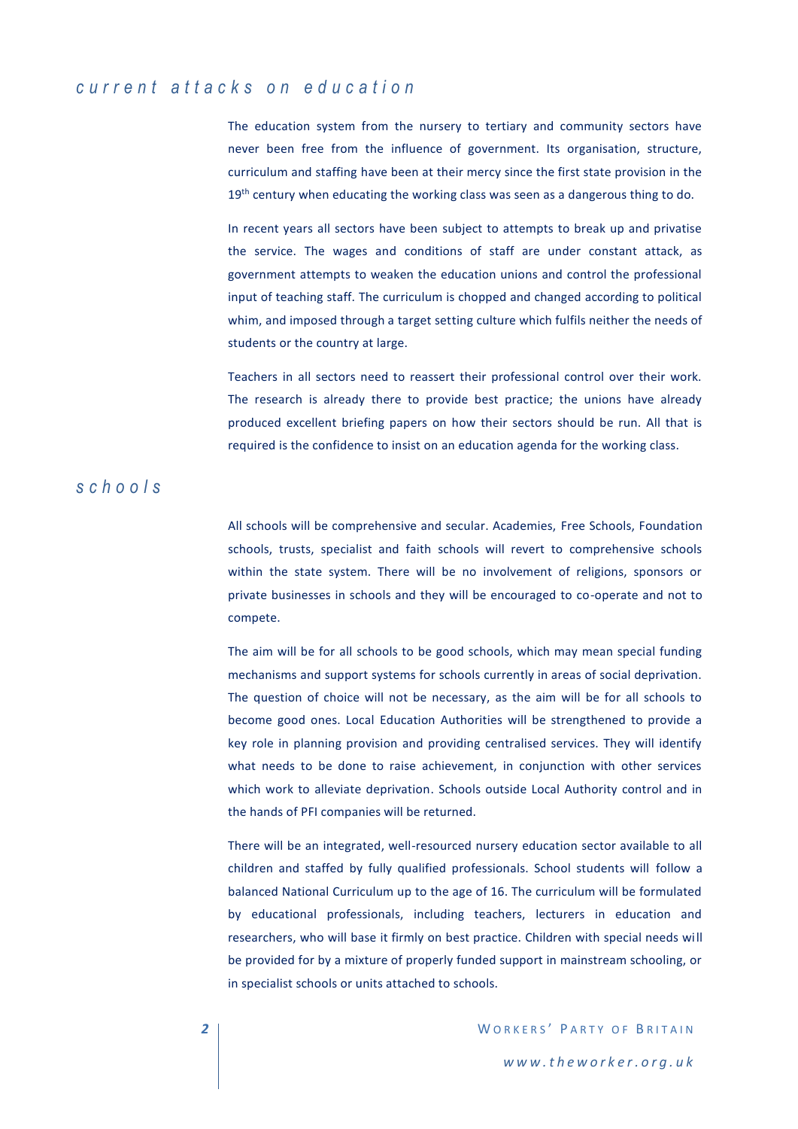## *c u r r e n t a t t a c k s o n e d u c a t i o n*

The education system from the nursery to tertiary and community sectors have never been free from the influence of government. Its organisation, structure, curriculum and staffing have been at their mercy since the first state provision in the  $19<sup>th</sup>$  century when educating the working class was seen as a dangerous thing to do.

In recent years all sectors have been subject to attempts to break up and privatise the service. The wages and conditions of staff are under constant attack, as government attempts to weaken the education unions and control the professional input of teaching staff. The curriculum is chopped and changed according to political whim, and imposed through a target setting culture which fulfils neither the needs of students or the country at large.

Teachers in all sectors need to reassert their professional control over their work. The research is already there to provide best practice; the unions have already produced excellent briefing papers on how their sectors should be run. All that is required is the confidence to insist on an education agenda for the working class.

#### *s c h o o l s*

All schools will be comprehensive and secular. Academies, Free Schools, Foundation schools, trusts, specialist and faith schools will revert to comprehensive schools within the state system. There will be no involvement of religions, sponsors or private businesses in schools and they will be encouraged to co-operate and not to compete.

The aim will be for all schools to be good schools, which may mean special funding mechanisms and support systems for schools currently in areas of social deprivation. The question of choice will not be necessary, as the aim will be for all schools to become good ones. Local Education Authorities will be strengthened to provide a key role in planning provision and providing centralised services. They will identify what needs to be done to raise achievement, in conjunction with other services which work to alleviate deprivation. Schools outside Local Authority control and in the hands of PFI companies will be returned.

There will be an integrated, well-resourced nursery education sector available to all children and staffed by fully qualified professionals. School students will follow a balanced National Curriculum up to the age of 16. The curriculum will be formulated by educational professionals, including teachers, lecturers in education and researchers, who will base it firmly on best practice. Children with special needs will be provided for by a mixture of properly funded support in mainstream schooling, or in specialist schools or units attached to schools.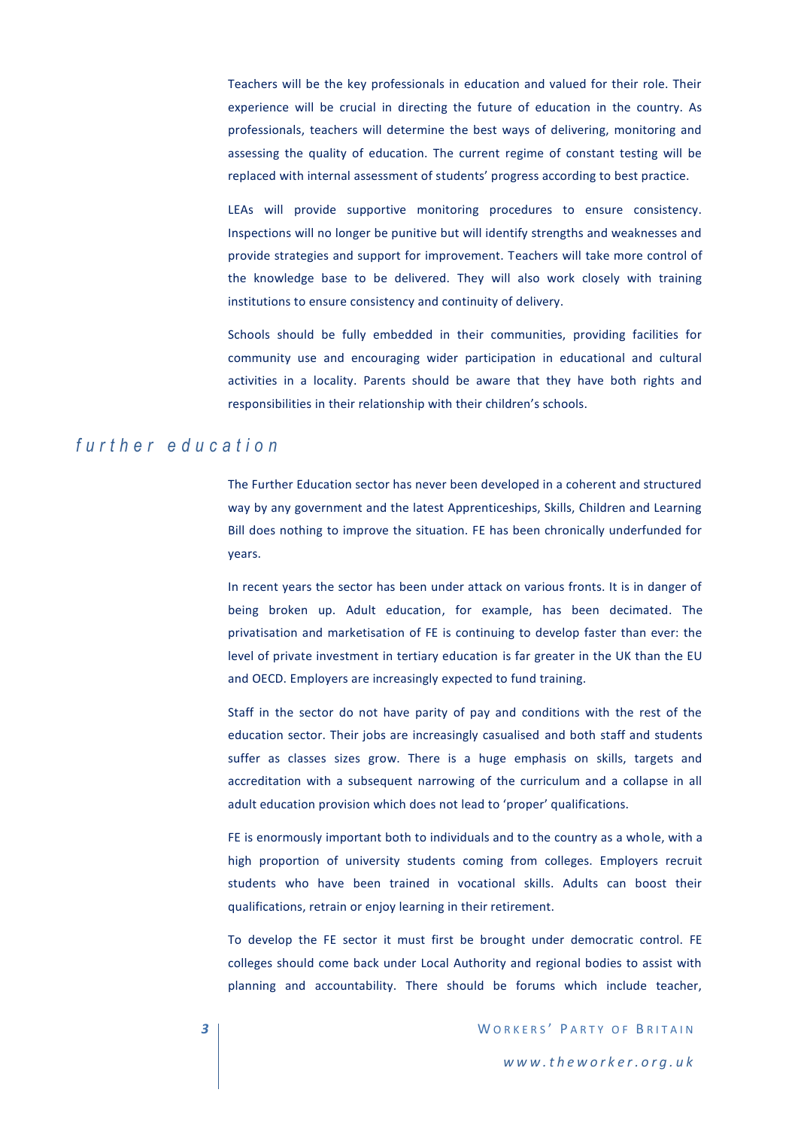Teachers will be the key professionals in education and valued for their role. Their experience will be crucial in directing the future of education in the country. As professionals, teachers will determine the best ways of delivering, monitoring and assessing the quality of education. The current regime of constant testing will be replaced with internal assessment of students' progress according to best practice.

LEAs will provide supportive monitoring procedures to ensure consistency. Inspections will no longer be punitive but will identify strengths and weaknesses and provide strategies and support for improvement. Teachers will take more control of the knowledge base to be delivered. They will also work closely with training institutions to ensure consistency and continuity of delivery.

Schools should be fully embedded in their communities, providing facilities for community use and encouraging wider participation in educational and cultural activities in a locality. Parents should be aware that they have both rights and responsibilities in their relationship with their children's schools.

#### *f u r t h e r e d u c a t i o n*

The Further Education sector has never been developed in a coherent and structured way by any government and the latest Apprenticeships, Skills, Children and Learning Bill does nothing to improve the situation. FE has been chronically underfunded for years.

In recent years the sector has been under attack on various fronts. It is in danger of being broken up. Adult education, for example, has been decimated. The privatisation and marketisation of FE is continuing to develop faster than ever: the level of private investment in tertiary education is far greater in the UK than the EU and OECD. Employers are increasingly expected to fund training.

Staff in the sector do not have parity of pay and conditions with the rest of the education sector. Their jobs are increasingly casualised and both staff and students suffer as classes sizes grow. There is a huge emphasis on skills, targets and accreditation with a subsequent narrowing of the curriculum and a collapse in all adult education provision which does not lead to 'proper' qualifications.

FE is enormously important both to individuals and to the country as a whole, with a high proportion of university students coming from colleges. Employers recruit students who have been trained in vocational skills. Adults can boost their qualifications, retrain or enjoy learning in their retirement.

To develop the FE sector it must first be brought under democratic control. FE colleges should come back under Local Authority and regional bodies to assist with planning and accountability. There should be forums which include teacher,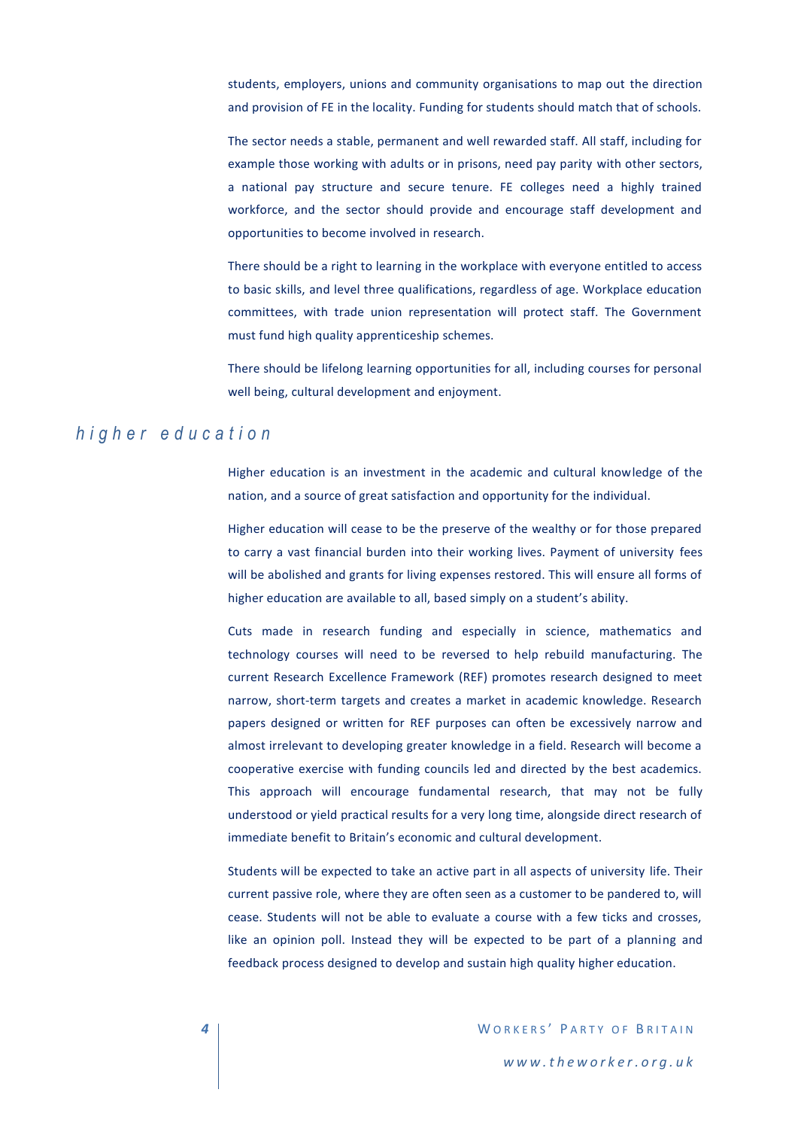students, employers, unions and community organisations to map out the direction and provision of FE in the locality. Funding for students should match that of schools.

The sector needs a stable, permanent and well rewarded staff. All staff, including for example those working with adults or in prisons, need pay parity with other sectors, a national pay structure and secure tenure. FE colleges need a highly trained workforce, and the sector should provide and encourage staff development and opportunities to become involved in research.

There should be a right to learning in the workplace with everyone entitled to access to basic skills, and level three qualifications, regardless of age. Workplace education committees, with trade union representation will protect staff. The Government must fund high quality apprenticeship schemes.

There should be lifelong learning opportunities for all, including courses for personal well being, cultural development and enjoyment.

## *h i g h e r e d u c a t i o n*

Higher education is an investment in the academic and cultural knowledge of the nation, and a source of great satisfaction and opportunity for the individual.

Higher education will cease to be the preserve of the wealthy or for those prepared to carry a vast financial burden into their working lives. Payment of university fees will be abolished and grants for living expenses restored. This will ensure all forms of higher education are available to all, based simply on a student's ability.

Cuts made in research funding and especially in science, mathematics and technology courses will need to be reversed to help rebuild manufacturing. The current Research Excellence Framework (REF) promotes research designed to meet narrow, short-term targets and creates a market in academic knowledge. Research papers designed or written for REF purposes can often be excessively narrow and almost irrelevant to developing greater knowledge in a field. Research will become a cooperative exercise with funding councils led and directed by the best academics. This approach will encourage fundamental research, that may not be fully understood or yield practical results for a very long time, alongside direct research of immediate benefit to Britain's economic and cultural development.

Students will be expected to take an active part in all aspects of university life. Their current passive role, where they are often seen as a customer to be pandered to, will cease. Students will not be able to evaluate a course with a few ticks and crosses, like an opinion poll. Instead they will be expected to be part of a planning and feedback process designed to develop and sustain high quality higher education.